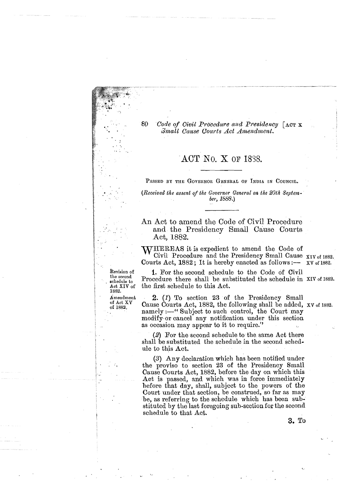80 *Code of Civil Procedure and Presidency* [ACT **x**  $Small$  Cause Courts Act Amendment.

. . . - . .- -~ .

# ACT No. X OF 1838.

PASSED BY THE GOVERNOR GENERAL OF INDIA IN COUNCIL.

*(Received the assent of the Governor General on the 20th Septembey,* 1E88.)

An Act to amend the Code of Civil Procedure and the Presidency Small Cause Courts Act, 1882.

WHEREAS it is expedient to amend the Code of Civil Procedure and the Presidency Small Cause  $_{XIV \text{ of } 1882.}$ Courts Act,  $1882$ ; It is hereby enacted as follows :-- xv of 1882.

Revision of<br>the second schedule to Act XIV of 1882. of Act XV

of 1882,

 $\mathbb{R}^n$  .

**<sup>C</sup>**-'

**1.** For the second schedule to the Code of Civil Procedure there shall be substituted the schedule in XIV of 1882. the first schedule to this Act.

2. *(I)* To section 23 of the Presidency Small Cause Courts Act, 1882, the following shall be added, XV of 1882. namely :—"Subject to such control, the Court may modify- or cancel any notification under this section as occasion may appear to it to require."

(2) For the second schedule to the same Act there shall be substituted the schedule in the second schedule to this Act.

**(3)** Any declaration which has been notified under the proviso to section 23 of the Yresidency Small Cause Courts Act, 1882, before the day on which this Act is passed, and which was in force immediately hefore that day, shall, subject to the powers of the Court under that section, be construed, so far as may be, as referring to the schedule which has been substituted by tlie last foregoing sub-section fox the second schedule to that Act.

**3.** To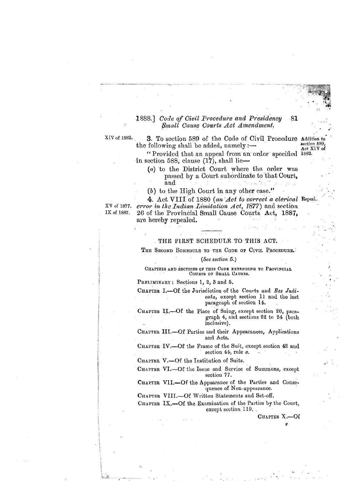#### **1888.** Code of Civil Procedure and Presidency 81 Small Cause Courts Act Amendment.

XIV of 1882. 3. To section 589 of the Code of Civil Procedure Addition to section 589, the following shall be added, namely  $:$   $-$ Act XIV of

"Provided that an appeal from an order specified 1882. in section 588, clause  $(17)$ , shall lie-

(a) to the District Court where the order was passed by a Court subordinate to that Court, and

(b) to the High Court in any other case."

4. Act VIII of 1880 (an Act to correct a clerical Repeal. XV of 1877. error in the Indian Limitation  $Act, 1877$  and section IX of 1887. 26 of the Provincial Small Cause Courts Act, 1887, are hereby repealed.

## THE FIRST SCHEDULE TO THIS ACT.

THE SECOND SCHEDULE TO THE CODE OF CIVIL PROCEDURE.

(See section  $5.$ )

CHAPTERS AND SECTIONS OF THIS CODE EXTENDING TO PROVINCIAL COURTS OF SMALL CAUSES.

PRELIMINARY: Sections 1, 2, 3 and 5.

CHAPTER I.-Of the Jurisdiction of the Courts and Res Judicata, except section 11 and the last paragraph of section 14.

CHAPTER II.-Of the Place of Suing, except section 20, paragraph 4, and sections 22 to 24 (both inclusive).

CHAPTER III.-Of Parties and their Appearances, Applications and Acts.

CHAPTER IV.-Of the Frame of the Suit, except section 42 and section 44, rule a.

CHAPTER V.-Of the Institution of Suits.

CHAPTER VI.-Of the Issue and Service of Summons, except section 77.

CHAFTER VII.-Of the Appearance of the Parties and Consequence of Non-appearance.

CHAPTER VIII.-Of Written Statements and Set-off.

CHAPTER IX.-Of the Examination of the Parties by the Court, except section 119.

> CHAPTER X.-Of R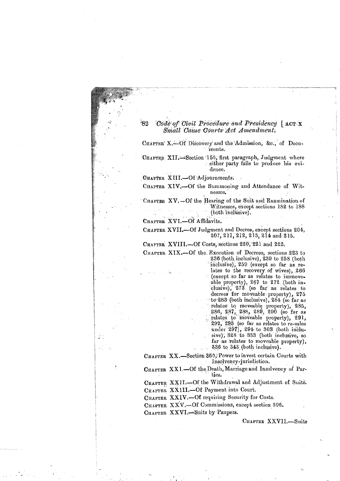#### -82 Code of Civil Procedure and Presidency | ACT X Small Cause Courts Act Amendment.

CHAPTER' X.-Of Discovery and the Admission, &c., of Documents.

CHAPTER XII. Section 155, first paragraph, Judgment where either party fails to produce his evidence.

CHAPTER XIII.-Of Adjournments.

CHAPTER XIV.-Of the Summoning and Attendance of Witnesses.

CHAPTER XV. - Of the Hearing of the Suit and Examination of Witnesses, except sections 182 to 188 (both inclusive).

CHAPTER XVI.-Of Affidavits.

÷

CHAPTER XVII.-Of Judgment and Decree, except sections 204, 207, 211, 212, 213, 214 and 215.

CHAPTER XVIII.-Of Costs, sections 220, 221 and 222.

CHAPTER XIX.-Of the Execution of Decrees, sections 223 to  $236$  (both inclusive),  $239$  to  $258$  (both inclusive), 259 (except so far as relates to the recovery of wives), 266 (except so far as relates to immoveable property), 267 to 272 (both in-<br>clusive), 273 (so far as relates to decrees for moveable property), 275 to 283 (both inclusive),  $284$  (so far as relates to moveable property), 285, 286, 287, 288, 289, 290 (so far as<br>relates to moveable property), 291,<br>292, 293 (so far as relates to re-sales under 297), 294 to 303 (both inclusive), 328 to 333 (both inclusive, so far as relates to moveable property), 336 to 343 (both inclusive).

CHAPTER XX.-Section 360; Power to invest certain Courts with Insolvency-jurisdiction.

CHAPTER XXI.-Of the Death, Marriage and Insolvency of Parties.

CHAPTER XXII.-Of the Withdrawal and Adjustment of Suits. CHAPTER XX1II.-Of Payment into Court.

CHAPTER XXIV.-Of requiring Security for Costs.

CHAPTER XXV.-Of Commissions, except section 396.

CHAPTER XXVI.-Suits by Paupers.

CHAPTER XXVII.-Suits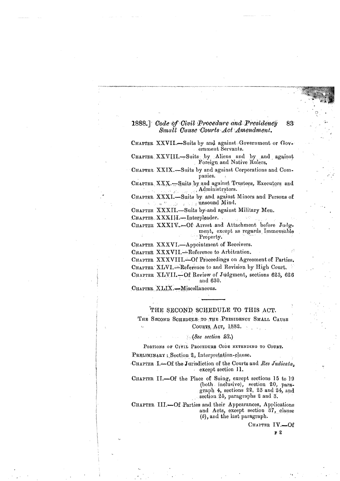#### 1888.] Code of Civil Procedure and Presidency 83 Small Cause Courts Act Amendment.

CHAPTER XXVII.-Suits by and against Government or Government Servants.

**CHAPTER** XXVlI1.-Suits by Aliens and by and against Foreign md Native Rulers.

**CHAPTER XXIX.**—Suits by and against Corporations and Companies.

CHAPTER XXX.<sup>1</sup>Suits by and against Trustees, Executors and . Administrators.

CHAPTER XXXI.-Suits by and against Minors and Persons of unsound Mind.

CHAPTER XXXII.-Suits by and against Military Men.

CHAPTER XXXIII.-Interpleader.

**CIIAPTER** XXXIV,-OE Arrest and Attachment before Judgment, except as regards Immoveable Property.

CHAPTER XXXVI.-Appointment of Receivers.

CHAPTER XXXVII.-Reference to Arbitration.

**CHAPTER** XXXVII1.-Of Proceedings on Agreement of Parties. CHAPTER XLVI.<sup>----</sup>Reference to and Revision by High Court. CHAPTER XLVII.-Of Review of Judgment, sections 623, 626 and 630.

CHAPTER XLIX.-Miscellaneous.

## THE SECOND SCHEDULE TO THIS ACT.

THE SECOND SCHEDULE TO THE PRESIDENCY SMALL CAUSE

COURTS, ACT, 1882.

### , (See *section* **23.)**

PORTIONS OF CIVIL PROCEDURE CODE EXTENDING TO COURT.<br>PRELIMINARY : Section 2, Interpretation-clause.

**CHAPTER** I.-Of the Jorisdiction of the Courts and **Res** *Judicata,*  except section 11.

**CHAPTER** 11.-Of the Place of Suing, except sections 15 to **10**  (both inclusive), section 20, paragraph 4, sections 22, 23 and 24, and section 25, paragraphs 2 and 3.

**CHAPTER** 111.-Of Parties **and** their Appearances, Applications and Acts, except section 37, clause **(6))** and the last paragraph.

> **CHAPTWR** 1V.-Of **F 2**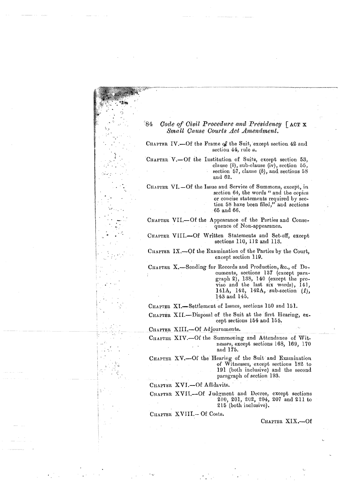| ੇ84<br>Code of Civil Procedure and Presidency $\lceil \text{ACT X} \rceil$<br>Small Cause Courts Act Amendment.                                                                                                                        |
|----------------------------------------------------------------------------------------------------------------------------------------------------------------------------------------------------------------------------------------|
| CHAPTER IV.—Of the Frame of the Suit, except section 42 and<br>section $44$ , rule $a$ .                                                                                                                                               |
| CHAPTER V.-Of the Institution of Suits, except section 53,<br>clause $(b)$ , sub-clause $(iv)$ , section 55,<br>section 57, clause $(b)$ , and sections 58<br>and 62.                                                                  |
| CHAPTER VI.-Of the Issue and Service of Summons, except, in<br>section 64, the words " and the copies<br>or concise statements required by sec-<br>tion 58 have been filed," and sections<br>$\pm65$ and $66.$                         |
| CHAPTER VII.—Of the Appearance of the Parties and Conse-<br>quence of Non-appearance.                                                                                                                                                  |
| CHAPTER VIII.-Of Written Statements and Set-off, except<br>sections 110, 112 and 113.                                                                                                                                                  |
| CHAPTER IX.—Of the Examination of the Parties by the Court,<br>except section 119.                                                                                                                                                     |
| CHAPTER X.-Sending for Records and Production, &c., of Do-<br>cuments, sections 137 (except para-<br>graph 2), 138, 140 (except the pro-<br>viso and the last six words), 141,<br>141A, 142, 142A, sub-section $(1)$ ,<br>143 and 145. |
| CHAPTER XI.-Settlement of Issues, sections 150 and 151.                                                                                                                                                                                |
| CHAPTER XII.—Disposal of the Suit at the first Hearing, ex-<br>cept sections 154 and 155.                                                                                                                                              |
| CHAPTER XIII.-Of Adjournments.                                                                                                                                                                                                         |
| CHAPTER XIV.-Of the Summoning and Attendance of Wit-<br>nesses, except sections 168, 169, 170<br>and 175.                                                                                                                              |
| CHAPTER XV.-Of the Hearing of the Suit and Examination<br>of Witnesses, except sections 182 to<br>191 (both inclusive) and the second<br>paragraph of section 193.                                                                     |
| CHAPTER XVI.-Of Affidavits.                                                                                                                                                                                                            |
| CHAPTER XVII.-Of Judgment and Decree, except sections<br>200, 201, 202, 204, 207 and 211 to<br>215 (both inclusive).                                                                                                                   |
| CHAPTER XVIII.- Of Costs.                                                                                                                                                                                                              |
| CHAPTER XIX.-Of                                                                                                                                                                                                                        |
|                                                                                                                                                                                                                                        |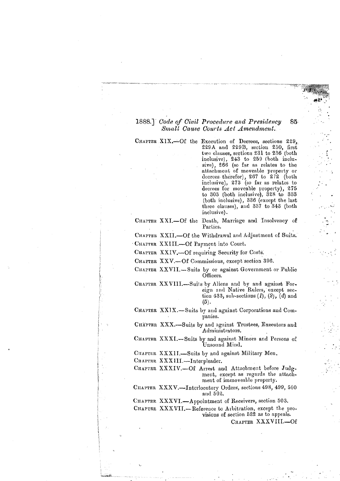#### 1888.] Code of Civil Procedure and Presidency 85 Small Cause Courts Act Amendment.

CHAPTER XIX. - Of the Execution of Decrees, sections 229, 229A and 229B, section 230, first two clauses, sections 231 to 236 (both inclusive), 243 to 259 (both inclusive), 266 (so far as relates to the attachment of moveable property or decrees therefor), 267 to 272 (both inclusive), 273 (so far as relates to decrees for moveable property), 275 to 303 (both inclusive), 328 to 333 (both inclusive), 336 (except the last three clauses), and 337 to 343 (both inclusive).

CHAPTER XXI.-Of the Death, Marriage and Insolvency of Parties.

CHAPTER XXII.--Of the Withdrawal and Adjustment of Suits.

CHAPTER XXIII.-Of Payment into Court.

CHAPTER XXIV.-Of requiring Security for Costs.

CHAPTER XXV.-Of Commissions, except section 396.

CHAPTER XXVII.-Suits by or against Government or Public Officers.

CHAPTER XXVIII.-Suits by Aliens and by and against Foreign and Native Rulers, except section 433, sub-sections  $(l)$ ,  $(2)$ ,  $(4)$  and  $(5)$ .

CHAPTER XXIX.-Suits by and against Corporations and Companies.

CHÄPTER XXX.-Suits by and against Trustees, Executors and Administrators.

CHAPTER XXXI.-Suits by and against Minors and Persons of Unsound Mind.

CHAPTER XXXII.-Suits by and against Military Men.

CHAPTER XXXIII.-Interpleader.

CHAPTER XXXIV.-Of Arrest and Attachment before Judgment, except as regards the attachment of immoveable property.

CHAPTER XXXV.-Interlocutory Orders, sections 498, 499, 500 and 502.

CHAPTER XXXVI.-Appointment of Receivers, section 503. CHAPTER XXXVII.-Reference to Arbitration, except the provisions of section 522 as to appeals.

CHAPTER XXXVIII.--Of